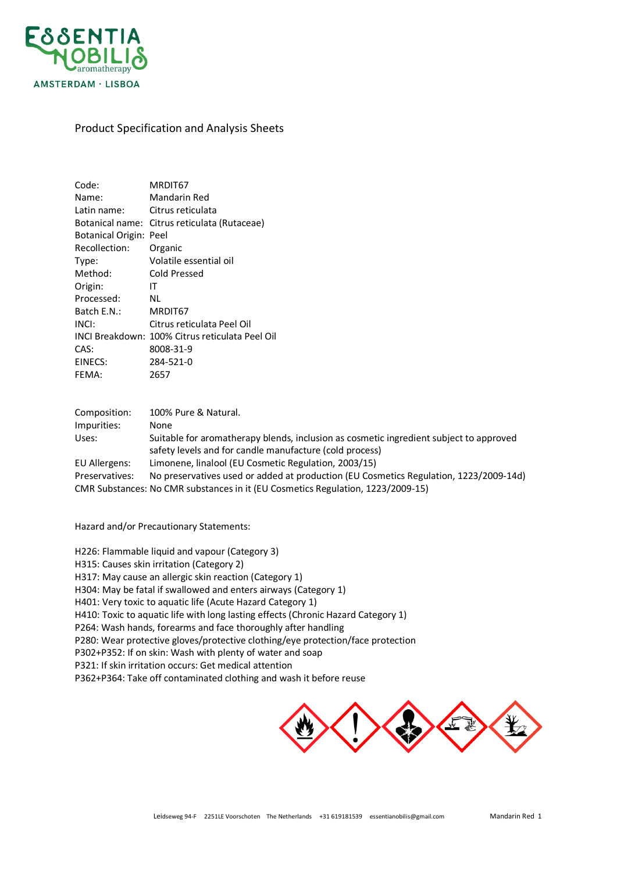

## Product Specification and Analysis Sheets

| Code:                       | MRDIT67                                                                                |
|-----------------------------|----------------------------------------------------------------------------------------|
| Name:                       | Mandarin Red                                                                           |
| Latin name:                 | Citrus reticulata                                                                      |
|                             | Botanical name: Citrus reticulata (Rutaceae)                                           |
| Botanical Origin: Peel      |                                                                                        |
| Recollection:               | Organic                                                                                |
| Type:                       | Volatile essential oil                                                                 |
| Method:                     | Cold Pressed                                                                           |
| Origin:                     | ΙT                                                                                     |
| Processed:                  | <b>NL</b>                                                                              |
| Batch E.N.:                 | MRDIT67                                                                                |
| INCI:                       | Citrus reticulata Peel Oil                                                             |
|                             | INCI Breakdown: 100% Citrus reticulata Peel Oil                                        |
| CAS:                        | 8008-31-9                                                                              |
| EINECS:                     | 284-521-0                                                                              |
| FEMA:                       | 2657                                                                                   |
|                             |                                                                                        |
|                             | 100% Pure & Natural.                                                                   |
| Composition:<br>Impurities: | None                                                                                   |
| Uses:                       | Suitable for aromatherapy blends, inclusion as cosmetic ingredient subject to approved |
|                             | safety levels and for candle manufacture (cold process)                                |
| EU Allergens:               | Limonene, linalool (EU Cosmetic Regulation, 2003/15)                                   |
| Preservatives:              | No preservatives used or added at production (EU Cosmetics Regulation, 1223/2009-14d)  |
|                             | CMR Substances: No CMR substances in it (EU Cosmetics Regulation, 1223/2009-15)        |
|                             |                                                                                        |

Hazard and/or Precautionary Statements:

H226: Flammable liquid and vapour (Category 3)

H315: Causes skin irritation (Category 2)

H317: May cause an allergic skin reaction (Category 1)

H304: May be fatal if swallowed and enters airways (Category 1)

H401: Very toxic to aquatic life (Acute Hazard Category 1)

H410: Toxic to aquatic life with long lasting effects (Chronic Hazard Category 1)

P264: Wash hands, forearms and face thoroughly after handling

P280: Wear protective gloves/protective clothing/eye protection/face protection

P302+P352: If on skin: Wash with plenty of water and soap

P321: If skin irritation occurs: Get medical attention

P362+P364: Take off contaminated clothing and wash it before reuse